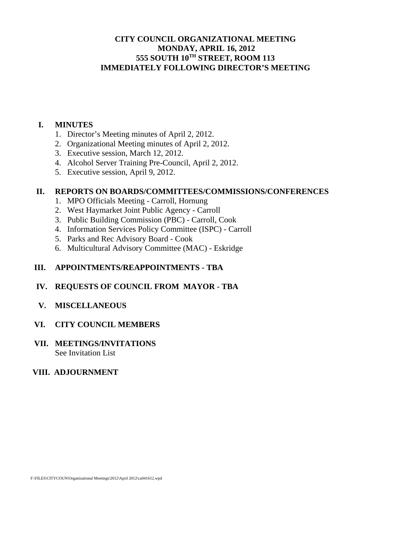## **CITY COUNCIL ORGANIZATIONAL MEETING MONDAY, APRIL 16, 2012 555 SOUTH 10TH STREET, ROOM 113 IMMEDIATELY FOLLOWING DIRECTOR'S MEETING**

#### **I. MINUTES**

- 1. Director's Meeting minutes of April 2, 2012.
- 2. Organizational Meeting minutes of April 2, 2012.
- 3. Executive session, March 12, 2012.
- 4. Alcohol Server Training Pre-Council, April 2, 2012.
- 5. Executive session, April 9, 2012.

### **II. REPORTS ON BOARDS/COMMITTEES/COMMISSIONS/CONFERENCES**

- 1. MPO Officials Meeting Carroll, Hornung
- 2. West Haymarket Joint Public Agency Carroll
- 3. Public Building Commission (PBC) Carroll, Cook
- 4. Information Services Policy Committee (ISPC) Carroll
- 5. Parks and Rec Advisory Board Cook
- 6. Multicultural Advisory Committee (MAC) Eskridge

#### **III. APPOINTMENTS/REAPPOINTMENTS - TBA**

### **IV. REQUESTS OF COUNCIL FROM MAYOR - TBA**

#### **V. MISCELLANEOUS**

#### **VI. CITY COUNCIL MEMBERS**

#### **VII. MEETINGS/INVITATIONS**  See Invitation List

### **VIII. ADJOURNMENT**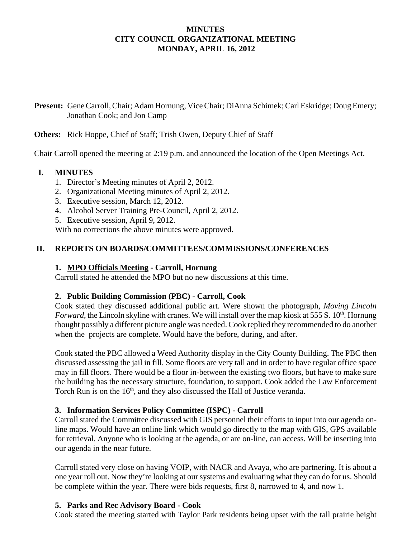## **MINUTES CITY COUNCIL ORGANIZATIONAL MEETING MONDAY, APRIL 16, 2012**

**Present:** Gene Carroll, Chair; Adam Hornung, Vice Chair; DiAnna Schimek; Carl Eskridge; Doug Emery; Jonathan Cook; and Jon Camp

### **Others:** Rick Hoppe, Chief of Staff; Trish Owen, Deputy Chief of Staff

Chair Carroll opened the meeting at 2:19 p.m. and announced the location of the Open Meetings Act.

### **I. MINUTES**

- 1. Director's Meeting minutes of April 2, 2012.
- 2. Organizational Meeting minutes of April 2, 2012.
- 3. Executive session, March 12, 2012.
- 4. Alcohol Server Training Pre-Council, April 2, 2012.
- 5. Executive session, April 9, 2012.

With no corrections the above minutes were approved.

## **II. REPORTS ON BOARDS/COMMITTEES/COMMISSIONS/CONFERENCES**

### **1. MPO Officials Meeting - Carroll, Hornung**

Carroll stated he attended the MPO but no new discussions at this time.

### **2. Public Building Commission (PBC) - Carroll, Cook**

Cook stated they discussed additional public art. Were shown the photograph, *Moving Lincoln Forward*, the Lincoln skyline with cranes. We will install over the map kiosk at 555 S. 10<sup>th</sup>. Hornung thought possibly a different picture angle was needed. Cook replied they recommended to do another when the projects are complete. Would have the before, during, and after.

Cook stated the PBC allowed a Weed Authority display in the City County Building. The PBC then discussed assessing the jail in fill. Some floors are very tall and in order to have regular office space may in fill floors. There would be a floor in-between the existing two floors, but have to make sure the building has the necessary structure, foundation, to support. Cook added the Law Enforcement Torch Run is on the  $16<sup>th</sup>$ , and they also discussed the Hall of Justice veranda.

### **3. Information Services Policy Committee (ISPC) - Carroll**

Carroll stated the Committee discussed with GIS personnel their efforts to input into our agenda online maps. Would have an online link which would go directly to the map with GIS, GPS available for retrieval. Anyone who is looking at the agenda, or are on-line, can access. Will be inserting into our agenda in the near future.

Carroll stated very close on having VOIP, with NACR and Avaya, who are partnering. It is about a one year roll out. Now they're looking at our systems and evaluating what they can do for us. Should be complete within the year. There were bids requests, first 8, narrowed to 4, and now 1.

### **5. Parks and Rec Advisory Board - Cook**

Cook stated the meeting started with Taylor Park residents being upset with the tall prairie height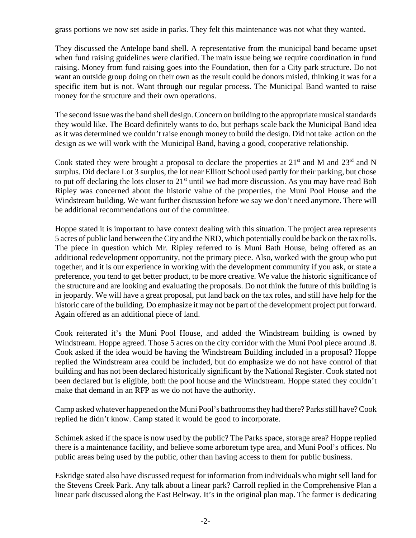grass portions we now set aside in parks. They felt this maintenance was not what they wanted.

They discussed the Antelope band shell. A representative from the municipal band became upset when fund raising guidelines were clarified. The main issue being we require coordination in fund raising. Money from fund raising goes into the Foundation, then for a City park structure. Do not want an outside group doing on their own as the result could be donors misled, thinking it was for a specific item but is not. Want through our regular process. The Municipal Band wanted to raise money for the structure and their own operations.

The second issue was the band shell design. Concern on building to the appropriate musical standards they would like. The Board definitely wants to do, but perhaps scale back the Municipal Band idea as it was determined we couldn't raise enough money to build the design. Did not take action on the design as we will work with the Municipal Band, having a good, cooperative relationship.

Cook stated they were brought a proposal to declare the properties at  $21<sup>st</sup>$  and M and  $23<sup>rd</sup>$  and N surplus. Did declare Lot 3 surplus, the lot near Elliott School used partly for their parking, but chose to put off declaring the lots closer to  $21<sup>st</sup>$  until we had more discussion. As you may have read Bob Ripley was concerned about the historic value of the properties, the Muni Pool House and the Windstream building. We want further discussion before we say we don't need anymore. There will be additional recommendations out of the committee.

Hoppe stated it is important to have context dealing with this situation. The project area represents 5 acres of public land between the City and the NRD, which potentially could be back on the tax rolls. The piece in question which Mr. Ripley referred to is Muni Bath House, being offered as an additional redevelopment opportunity, not the primary piece. Also, worked with the group who put together, and it is our experience in working with the development community if you ask, or state a preference, you tend to get better product, to be more creative. We value the historic significance of the structure and are looking and evaluating the proposals. Do not think the future of this building is in jeopardy. We will have a great proposal, put land back on the tax roles, and still have help for the historic care of the building. Do emphasize it may not be part of the development project put forward. Again offered as an additional piece of land.

Cook reiterated it's the Muni Pool House, and added the Windstream building is owned by Windstream. Hoppe agreed. Those 5 acres on the city corridor with the Muni Pool piece around .8. Cook asked if the idea would be having the Windstream Building included in a proposal? Hoppe replied the Windstream area could be included, but do emphasize we do not have control of that building and has not been declared historically significant by the National Register. Cook stated not been declared but is eligible, both the pool house and the Windstream. Hoppe stated they couldn't make that demand in an RFP as we do not have the authority.

Camp asked whatever happened on the Muni Pool's bathrooms they had there? Parks still have? Cook replied he didn't know. Camp stated it would be good to incorporate.

Schimek asked if the space is now used by the public? The Parks space, storage area? Hoppe replied there is a maintenance facility, and believe some arboretum type area, and Muni Pool's offices. No public areas being used by the public, other than having access to them for public business.

Eskridge stated also have discussed request for information from individuals who might sell land for the Stevens Creek Park. Any talk about a linear park? Carroll replied in the Comprehensive Plan a linear park discussed along the East Beltway. It's in the original plan map. The farmer is dedicating